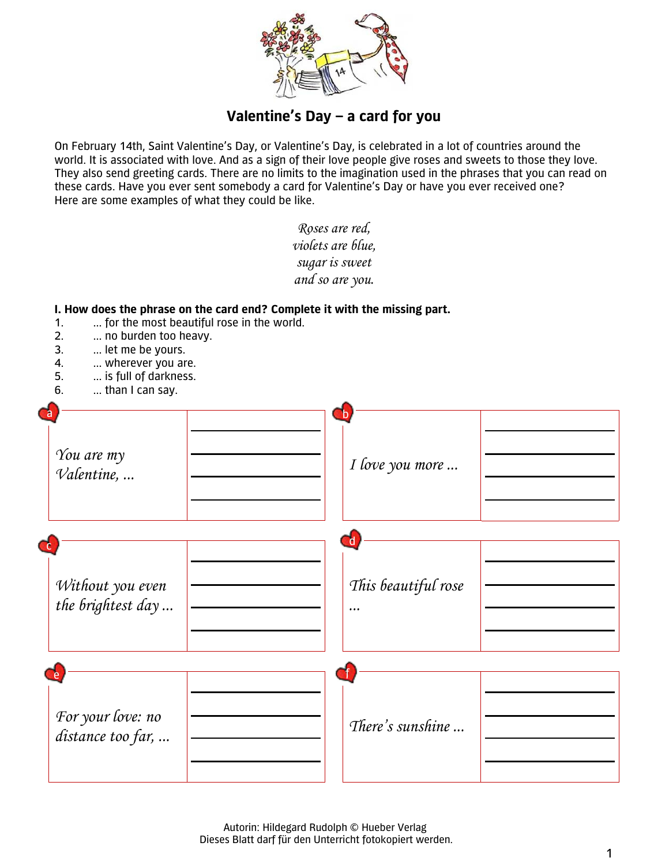

## **Valentine's Day – a card for you**

On February 14th, Saint Valentine's Day, or Valentine's Day, is celebrated in a lot of countries around the world. It is associated with love. And as a sign of their love people give roses and sweets to those they love. They also send greeting cards. There are no limits to the imagination used in the phrases that you can read on these cards. Have you ever sent somebody a card for Valentine's Day or have you ever received one? Here are some examples of what they could be like.

> *Roses are red, violets are blue, sugar is sweet*

|                                                                                                                                                                                                                                                                         | and so are you.                     |  |
|-------------------------------------------------------------------------------------------------------------------------------------------------------------------------------------------------------------------------------------------------------------------------|-------------------------------------|--|
| I. How does the phrase on the card end? Complete it with the missing part.<br>for the most beautiful rose in the world.<br>1.<br>2.<br>no burden too heavy.<br>3.<br>let me be yours.<br>4.<br>wherever you are.<br>5.<br>is full of darkness.<br>6.<br>than I can say. |                                     |  |
| $\mathsf{a}$<br>You are my<br>Valentine,                                                                                                                                                                                                                                | $\mathbf b$<br>I love you more      |  |
| Сc<br>Without you even<br>the brightest day                                                                                                                                                                                                                             | $\mathsf{d}$<br>This beautiful rose |  |
| For your love: no<br>distance too far,                                                                                                                                                                                                                                  | There's sunshine                    |  |

 Autorin: Hildegard Rudolph © Hueber Verlag Dieses Blatt darf für den Unterricht fotokopiert werden.